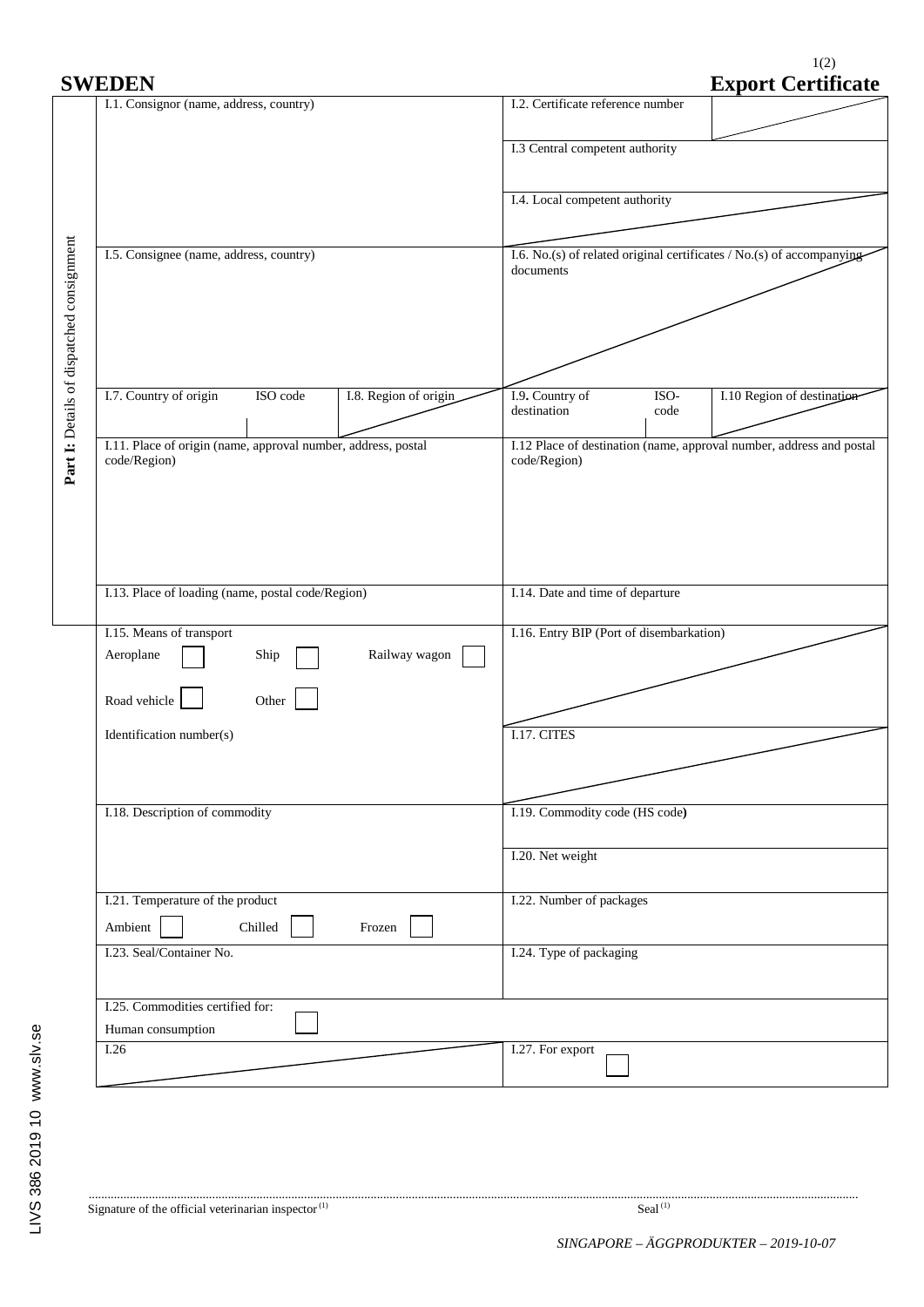1(2)

| <b>SWEDEN</b>                                                                 | <b>Export Certificate</b>                                                            |  |  |  |  |
|-------------------------------------------------------------------------------|--------------------------------------------------------------------------------------|--|--|--|--|
| I.1. Consignor (name, address, country)                                       | I.2. Certificate reference number                                                    |  |  |  |  |
|                                                                               | I.3 Central competent authority                                                      |  |  |  |  |
|                                                                               | I.4. Local competent authority                                                       |  |  |  |  |
|                                                                               |                                                                                      |  |  |  |  |
| I.5. Consignee (name, address, country)                                       | I.6. No.(s) of related original certificates / No.(s) of accompanying<br>documents   |  |  |  |  |
|                                                                               |                                                                                      |  |  |  |  |
|                                                                               |                                                                                      |  |  |  |  |
| I.7. Country of origin<br>ISO code<br>I.8. Region of origin                   | I.9. Country of<br>I.10 Region of destination<br>ISO-<br>destination<br>code         |  |  |  |  |
| I.11. Place of origin (name, approval number, address, postal<br>code/Region) | I.12 Place of destination (name, approval number, address and postal<br>code/Region) |  |  |  |  |
|                                                                               |                                                                                      |  |  |  |  |
|                                                                               |                                                                                      |  |  |  |  |
| I.13. Place of loading (name, postal code/Region)                             | I.14. Date and time of departure                                                     |  |  |  |  |
| I.15. Means of transport<br>Railway wagon<br>Aeroplane<br>Ship                | I.16. Entry BIP (Port of disembarkation)                                             |  |  |  |  |
| Road vehicle<br>Other                                                         |                                                                                      |  |  |  |  |
| Identification number(s)                                                      | I.17. CITES                                                                          |  |  |  |  |
|                                                                               |                                                                                      |  |  |  |  |
| I.18. Description of commodity                                                | I.19. Commodity code (HS code)                                                       |  |  |  |  |
|                                                                               | I.20. Net weight                                                                     |  |  |  |  |
| I.21. Temperature of the product<br>Ambient<br>Chilled<br>Frozen              | I.22. Number of packages                                                             |  |  |  |  |
| I.23. Seal/Container No.                                                      | I.24. Type of packaging                                                              |  |  |  |  |
| I.25. Commodities certified for:                                              |                                                                                      |  |  |  |  |
| Human consumption<br>$\overline{1.26}$                                        | I.27. For export                                                                     |  |  |  |  |
|                                                                               |                                                                                      |  |  |  |  |

...................................................................................................................................................................................................................................................